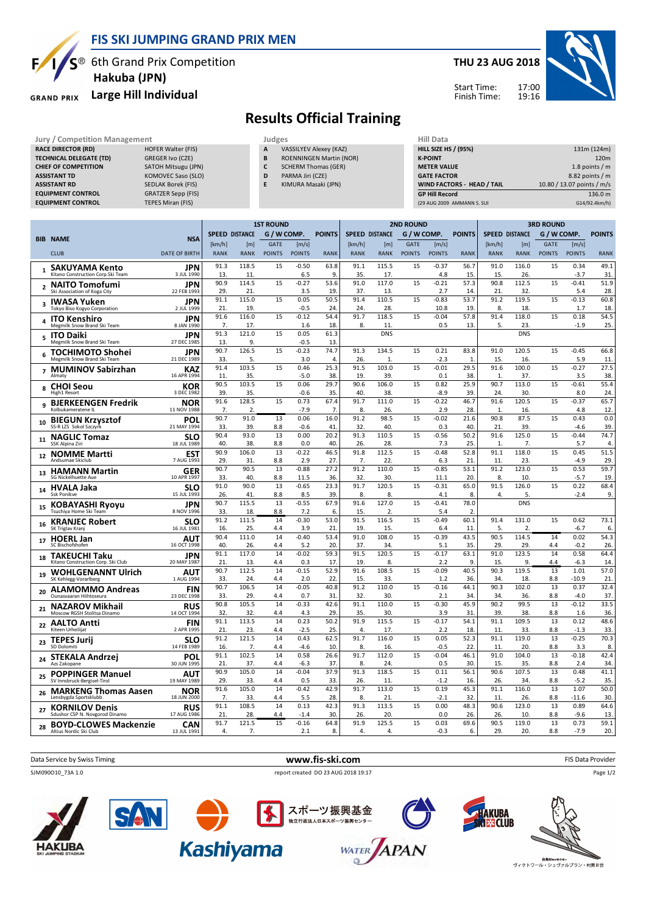

### **FIS SKI JUMPING GRAND PRIX MEN**

 $S^{\circledast}$  6th Grand Prix Competition  **Hakuba (JPN)**

#### **Large Hill Individual GRAND PRIX**

### **THU 23 AUG 2018**



Start Time: Finish Time:

# **Results Official Training**

| <b>Jury / Competition Management</b> |                           | Judges | <b>Hill Data</b>               |                    |
|--------------------------------------|---------------------------|--------|--------------------------------|--------------------|
| <b>RACE DIRECTOR (RD)</b>            | HOFER Walter (FIS)        | A      | VASSILYEV Alexey (KAZ)         | <b>HILL SIZE H</b> |
| <b>TECHNICAL DELEGATE (TD)</b>       | <b>GREGER Ivo (CZE)</b>   | B      | <b>ROENNINGEN Martin (NOR)</b> | <b>K-POINT</b>     |
| <b>CHIEF OF COMPETITION</b>          | SATOH Mitsugu (JPN)       |        | <b>SCHERM Thomas (GER)</b>     | <b>METER VA</b>    |
| <b>ASSISTANT TD</b>                  | KOMOVEC Saso (SLO)        | D      | PARMA Jiri (CZE)               | <b>GATE FACT</b>   |
| <b>ASSISTANT RD</b>                  | <b>SEDLAK Borek (FIS)</b> | E      | KIMURA Masaki (JPN)            | <b>WIND FACT</b>   |
| <b>EQUIPMENT CONTROL</b>             | <b>GRATZER Sepp (FIS)</b> |        |                                | <b>GP Hill Rec</b> |
| <b>EQUIPMENT CONTROL</b>             | <b>TEPES Miran (FIS)</b>  |        |                                | (29 AUG 2009       |

| (29 AUG 2009 AMMANN S. SUI        | G14/92.4km/h)              |
|-----------------------------------|----------------------------|
| <b>GP Hill Record</b>             | 136.0 m                    |
| <b>WIND FACTORS - HEAD / TAIL</b> | 10.80 / 13.07 points / m/s |
| <b>GATE FACTOR</b>                | 8.82 points / m            |
| <b>METER VALUE</b>                | 1.8 points $/m$            |
| <b>K-POINT</b>                    | 120 <sub>m</sub>           |
| <b>HILL SIZE HS / (95%)</b>       | 131m (124m)                |
| Hill Data                         |                            |

|                                                              |                           | <b>1ST ROUND</b> |                       |               |                   | <b>2ND ROUND</b> |             |                       |               |                | <b>3RD ROUND</b> |                      |                       |                 |                   |                  |
|--------------------------------------------------------------|---------------------------|------------------|-----------------------|---------------|-------------------|------------------|-------------|-----------------------|---------------|----------------|------------------|----------------------|-----------------------|-----------------|-------------------|------------------|
|                                                              |                           |                  | <b>SPEED DISTANCE</b> | G / W COMP.   |                   | <b>POINTS</b>    |             | <b>SPEED DISTANCE</b> | G / W COMP.   |                | <b>POINTS</b>    |                      | <b>SPEED DISTANCE</b> | G / W COMP.     |                   | <b>POINTS</b>    |
| <b>BIB NAME</b>                                              | <b>NSA</b>                | [km/h]           | [m]                   | <b>GATE</b>   | [m/s]             |                  | [km/h]      | [ <sub>m</sub> ]      | <b>GATE</b>   | [m/s]          |                  | [km/h]               | [m]                   | <b>GATE</b>     | [m/s]             |                  |
| <b>CLUB</b>                                                  | <b>DATE OF BIRTH</b>      | <b>RANK</b>      | <b>RANK</b>           | <b>POINTS</b> | <b>POINTS</b>     | <b>RANK</b>      | <b>RANK</b> | <b>RANK</b>           | <b>POINTS</b> | <b>POINTS</b>  | <b>RANK</b>      | <b>RANK</b>          | <b>RANK</b>           | <b>POINTS</b>   | <b>POINTS</b>     | <b>RANK</b>      |
| <b>SAKUYAMA Kento</b><br>$\mathbf{1}$                        | <b>JPN</b>                | 91.3             | 118.5                 | 15            | $-0.50$           | 63.8             | 91.1        | 115.5                 | 15            | $-0.37$        | 56.7             | 91.0                 | 116.0                 | 15              | 0.34              | 49.1             |
| Kitano Construction Corp.Ski Team                            | 3 JUL 1990                | 13               | 11                    |               | 6.5               | 9.               | 35.         | 17                    |               | 4.8            | 15               | 15                   | 26.                   |                 | $-3.7$            | 31.              |
| <b>NAITO Tomofumi</b><br>2<br>Ski Association of Koga City   | JPN<br>22 FFB 1993        | 90.9<br>29       | 114.5<br>21           | 15            | $-0.27$<br>3.5    | 53.6<br>19       | 91.0<br>37. | 117.0<br>13.          | 15            | $-0.21$<br>2.7 | 57.3<br>14       | 90.8<br>21           | 112.5<br>32.          | 15              | $-0.41$<br>5.4    | 51.9<br>28.      |
| <b>IWASA Yuken</b>                                           | <b>JPN</b>                | 91.1             | 115.0                 | 15            | 0.05              | 50.5             | 91.4        | 110.5                 | 15            | $-0.83$        | 53.7             | 91.2                 | 119.5                 | 15              | $-0.13$           | 60.8             |
| з<br>Tokyo Biso Kogyo Corporation                            | 2 JUL 1999                | 21.              | 19                    |               | $-0.5$            | 24               | 24          | 28.                   |               | 10.8           | 19               | 8.                   | 18.                   |                 | 1.7               | 18.              |
| <b>ITO Kenshiro</b><br>4                                     | JPN                       | 91.6             | 116.0                 | 15            | $-0.12$           | 54.4             | 91.7        | 118.5                 | 15            | $-0.04$        | 57.8             | 91.4                 | 118.0                 | 15              | 0.18              | 54.5             |
| Megmilk Snow Brand Ski Team                                  | 8 JAN 1990                | 7.               | 17.                   |               | 1.6               | 18.              | 8.          | 11                    |               | 0.5            | 13.              | 5.                   | 23                    |                 | $-1.9$            | 25.              |
| <b>ITO Daiki</b><br>5<br>Megmilk Snow Brand Ski Team         | JPN<br>27 DEC 1985        | 91.3<br>13       | 121.0<br>9            | 15            | 0.05<br>$-0.5$    | 61.3<br>13       |             | <b>DNS</b>            |               |                |                  |                      | <b>DNS</b>            |                 |                   |                  |
| <b>TOCHIMOTO Shohei</b><br>6                                 | <b>JPN</b>                | 90.7             | 126.5                 | 15            | $-0.23$           | 74.7             | 91.3        | 134.5                 | 15            | 0.21           | 83.8             | 91.0                 | 120.5                 | 15              | $-0.45$           | 66.8             |
| Megmilk Snow Brand Ski Team                                  | 21 DEC 1989               | 33.              | 5.                    |               | 3.0               | $\overline{4}$   | 26.         | 1                     |               | $-2.3$         | 1                | 15.                  | 16.                   |                 | 5.9               | 11               |
| 7 MUMINOV Sabirzhan<br>Almaty                                | <b>KAZ</b><br>16 APR 1994 | 91.4             | 103.5                 | 15            | 0.46              | 25.3             | 91.5<br>19  | 103.0                 | 15            | $-0.01$        | 29.5             | 91.6<br>$\mathbf{1}$ | 100.0                 | 15              | $-0.27$           | 27.5             |
|                                                              | <b>KOR</b>                | 11<br>90.5       | 35.<br>103.5          | 15            | $-5.0$<br>0.06    | 38<br>29.7       | 90.6        | 39.<br>106.0          | 15            | 0.1<br>0.82    | 38.<br>25.9      | 90.7                 | 37.<br>113.0          | 15              | 3.5<br>$-0.61$    | 38.<br>55.4      |
| <b>CHOI Seou</b><br>8<br>High1 Resort                        | 3 DEC 1982                | 39               | 35.                   |               | $-0.6$            | 35               | 40.         | 38.                   |               | $-8.9$         | 39.              | 24.                  | 30.                   |                 | 8.0               | 24.              |
| <b>BJERKEENGEN Fredrik</b><br>9                              | <b>NOR</b>                | 91.6             | 128.5                 | 15            | 0.73              | 67.4             | 91.7        | 111.0                 | 15            | $-0.22$        | 46.7             | 91.6                 | 120.5                 | 15              | $-0.37$           | 65.7             |
| Kolbukameratene IL                                           | 11 NOV 1988               | 7.               | 2                     |               | $-7.9$            | 7.               | 8.          | 26.                   |               | 2.9            | 28.              | $\mathbf{1}$         | 16.                   |                 | 4.8               | 12.              |
| <b>BIEGUN Krzysztof</b><br>10<br>SS-R LZS Sokol Szczyrk      | POL<br>21 MAY 1994        | 90.7<br>33.      | 91.0<br>39            | 13<br>8.8     | 0.06<br>$-0.6$    | 16.0<br>41       | 91.2<br>32  | 98.5<br>40.           | 15            | $-0.02$<br>0.3 | 21.6<br>40.      | 90.8<br>21           | 87.5<br>39.           | 15              | 0.43<br>$-4.6$    | 0.0<br>39.       |
| <b>NAGLIC Tomaz</b>                                          | SLO                       | 90.4             | 93.0                  | 13            | 0.00              | 20.2             | 91.3        | 110.5                 | 15            | $-0.56$        | 50.2             | 91.6                 | 125.0                 | 15              | $-0.44$           | 74.7             |
| 11<br>SSK Alpina Ziri                                        | 18 JUL 1989               | 40.              | 38                    | 8.8           | 0.0               | 40               | 26.         | 28.                   |               | 7.3            | 25.              | $\mathbf{1}$         | 7.                    |                 | 5.7               | 4.               |
| <b>NOMME Martti</b><br>12                                    | <b>EST</b>                | 90.9             | 106.0                 | 13            | $-0.22$           | 46.5             | 91.8        | 112.5                 | 15            | $-0.48$        | 52.8             | 91.1                 | 118.0                 | 15              | 0.45              | 51.5             |
| Andsumae Skiclub                                             | 7 AUG 1993                | 29<br>90.7       | 31<br>90.5            | 8.8<br>13     | 2.9<br>$-0.88$    | 27<br>27.2       | 7.<br>91.2  | 22.<br>110.0          | 15            | 6.3<br>$-0.85$ | 21<br>53.1       | 11<br>91.2           | 23.<br>123.0          | 15              | $-4.9$<br>0.53    | 29.<br>59.7      |
| <b>HAMANN Martin</b><br>13<br>SG Nickelhuette Aue            | <b>GER</b><br>10 APR 1997 | 33.              | 40                    | 8.8           | 11.5              | 36.              | 32.         | 30.                   |               | 11.1           | 20               | 8.                   | 10.                   |                 | $-5.7$            | 19.              |
| <b>HVALA Jaka</b><br>14                                      | SLO                       | 91.0             | 90.0                  | 13            | $-0.65$           | 23.3             | 91.7        | 120.5                 | 15            | $-0.31$        | 65.C             | 91.5                 | 126.0                 | 15              | 0.22              | 68.4             |
| <b>Ssk Ponikve</b>                                           | 15 JUL 1993               | 26               | 41                    | 8.8           | 8.5               | 39.              | 8.          | 8.                    |               | 4.1            | 8.               | 4                    | 5                     |                 | $-2.4$            | 9.               |
| <b>KOBAYASHI Ryoyu</b><br>15<br>Tsuchiya Home Ski Team       | <b>JPN</b><br>8 NOV 1996  | 90.7<br>33.      | 115.5<br>18.          | 13<br>8.8     | $-0.55$<br>7.2    | 67.9<br>6.       | 91.6<br>15  | 127.0<br>2.           | 15            | $-0.41$<br>5.4 | 78.0<br>2        |                      | <b>DNS</b>            |                 |                   |                  |
| <b>KRANJEC Robert</b>                                        | <b>SLO</b>                | 91.2             | 111.5                 | 14            | $-0.30$           | 53.0             | 91.5        | 116.5                 | 15            | $-0.49$        | 60.1             | 91.4                 | 131.0                 | 15              | 0.62              | 73.1             |
| 16<br>SK Triglav Krani                                       | 16 JUL 1981               | 16               | 25.                   | 4.4           | 3.9               | 21               | 19          | 15                    |               | 6.4            | 11               | 5                    | 2.                    |                 | $-6.7$            | 6.               |
| <b>HOERL Jan</b><br>17                                       | AUT                       | 90.4             | 111.0                 | 14            | $-0.40$           | 53.4             | 91.0        | 108.0                 | 15            | $-0.39$        | 43.5             | 90.5                 | 114.5                 | 14              | 0.02              | 54.3             |
| SC Bischofshofen                                             | 16 OCT 1998               | 40.<br>91.1      | 26.<br>117.0          | 4.4<br>14     | 5.2<br>$-0.02$    | 20<br>59.3       | 37.<br>91.5 | 34<br>120.5           | 15            | 5.1<br>$-0.17$ | 35.<br>63.1      | 29<br>91.0           | 29.<br>123.5          | 4.4<br>14       | $-0.2$<br>0.58    | 26.<br>64.4      |
| TAKEUCHI Taku<br>18<br>Kitano Construction Corp. Ski Club    | <b>JPN</b><br>20 MAY 1987 | 21               | 13                    | 4.4           | 0.3               | 17               | 19          | 8.                    |               | 2.2            | 9.               | 15                   | 9.                    | 4.4             | $-6.3$            | 14.              |
| <b>WOHLGENANNT Ulrich</b><br>19                              | AUT                       | 90.7             | 112.5                 | 14            | $-0.15$           | 52.9             | 91.6        | 108.5                 | 15            | $-0.09$        | 40.5             | 90.3                 | 119.5                 | $\overline{13}$ | 1.01              | $\frac{1}{57.0}$ |
| SK Kehlegg-Vorarlberg                                        | 1 AUG 1994                | 33.              | 24.                   | 4.4           | 2.0               | 22               | 15          | 33                    |               | 1.2            | 36.              | 34                   | 18.                   | 8.8             | $-10.9$           | 21.              |
| <b>ALAMOMMO Andreas</b><br>20<br>Ounasyaaran Hiihtoseura     | <b>FIN</b><br>23 DEC 1998 | 90.7<br>33       | 106.5<br>29           | 14<br>4.4     | $-0.05$<br>0.7    | 40.8<br>31       | 91.2<br>32  | 110.0<br>30.          | 15            | $-0.16$<br>2.1 | 44.1<br>34.      | 90.3<br>34           | 102.0<br>36.          | 13<br>8.8       | 0.37<br>$-4.0$    | 32.4<br>37.      |
| <b>NAZAROV Mikhail</b>                                       | <b>RUS</b>                | 90.8             | 105.5                 | 14            | $-0.33$           | 42.6             | 91.1        | 110.0                 | 15            | $-0.30$        | 45.9             | 90.2                 | 99.5                  | 13              | $-0.12$           | 33.5             |
| 21<br>Moscow RGSH Stolitsa Dinamo                            | 14 OCT 1994               | 32               | 32.                   | 4.4           | 4.3               | 29.              | 35.         | 30.                   |               | 3.9            | 31.              | 39.                  | 38.                   | 8.8             | 1.6               | 36.              |
| <b>AALTO Antti</b><br>22<br>Kiteen Urheilijat                | <b>FIN</b><br>2 APR 1995  | 91.1             | 113.5                 | 14            | 0.23              | 50.2             | 91.9        | 115.5                 | 15            | $-0.17$        | 54.1             | 91.1                 | 109.5                 | 13              | 0.12              | 48.6<br>33.      |
|                                                              | SLO                       | 21<br>91.2       | 23.<br>121.5          | 4.4<br>14     | $-2.5$<br>0.43    | 25<br>62.5       | 4.<br>91.7  | 17.<br>116.0          | 15            | 2.2<br>0.05    | 18<br>52.3       | 11<br>91.1           | 33.<br>119.0          | 8.8<br>13       | $-1.3$<br>$-0.25$ | 70.3             |
| <b>TEPES Jurij</b><br>23<br>SD Dolomiti                      | 14 FEB 1989               | 16               | 7.                    | 4.4           | $-4.6$            | 10               | 8.          | 16.                   |               | $-0.5$         | 22.              | 11                   | 20                    | 8.8             | 3.3               | 8.               |
| <b>STEKALA Andrzej</b><br>24                                 | <b>POL</b>                | 91.1             | 102.5                 | 14            | 0.58              | 26.6             | 91.7        | 112.0                 | 15            | $-0.04$        | 46.1             | 91.0                 | 104.0                 | 13              | $-0.18$           | 42.4             |
| Azs Zakopane                                                 | 30 JUN 1995               | 21<br>90.9       | 37.<br>105.0          | 4.4<br>14     | $-6.3$<br>$-0.04$ | 37<br>37.9       | 8.<br>91.3  | 24.<br>118.5          | 15            | 0.5<br>0.11    | 30.<br>56.1      | 15<br>90.6           | 35.<br>107.5          | 8.8<br>13       | 2.4<br>0.48       | 34.<br>41.1      |
| <b>POPPINGER Manuel</b><br>25<br>SV Innsbruck-Bergisel-Tirol | AUT<br>19 MAY 1989        | 29               | 33                    | 4.4           | 0.5               | 33               | 26          | 11                    |               | $-1.2$         | 16.              | 26                   | 34.                   | 8.8             | $-5.2$            | 35.              |
| <b>MARKENG Thomas Aasen</b>                                  | <b>NOR</b>                | 91.6             | 105.0                 | 14            | $-0.42$           | 42.9             | 91.7        | 113.0                 | 15            | 0.19           | 45.3             | 91.1                 | 116.0                 | 13              | 1.07              | 50.0             |
| 26<br>Lensbygda Sportsklubb                                  | 18 JUN 2000               | 7.               | 33.                   | 4.4           | 5.5               | 28               | 8.          | 21                    |               | $-2.1$         | 32.              | 11                   | 26.                   | 8.8             | $-11.6$           | 30.              |
| <b>KORNILOV Denis</b><br>27                                  | <b>RUS</b>                | 91.1             | 108.5                 | 14            | 0.13              | 42.3             | 91.3        | 113.5                 | 15            | 0.00           | 48.3             | 90.6                 | 123.0                 | 13              | 0.89              | 64.6             |
| Sdushor CSP N. Novgorod Dinamo                               | 17 AUG 1986<br><b>CAN</b> | 21<br>91.7       | 28<br>121.5           | 4.4<br>15     | $-1.4$<br>$-0.16$ | 30.<br>64.8      | 26.<br>91.9 | 20.<br>125.5          | 15            | 0.0<br>0.03    | 26.<br>69.6      | 26.<br>90.5          | 10<br>119.0           | 8.8<br>13       | -9.6<br>0.73      | 13.<br>59.1      |
| <b>BOYD-CLOWES Mackenzie</b><br>28<br>Altius Nordic Ski Club | 13 JUL 1991               | 4.               | 7.                    |               | 2.1               | 8.               | 4.          | 4.                    |               | $-0.3$         | 6.               | 29.                  | 20.                   | 8.8             | $-7.9$            | 20.              |
|                                                              |                           |                  |                       |               |                   |                  |             |                       |               |                |                  |                      |                       |                 |                   |                  |













**コンプロストワール・シュヴァルブラン・村男**川世<br>ヴィクトワール・シュヴァルブラン・村男川世